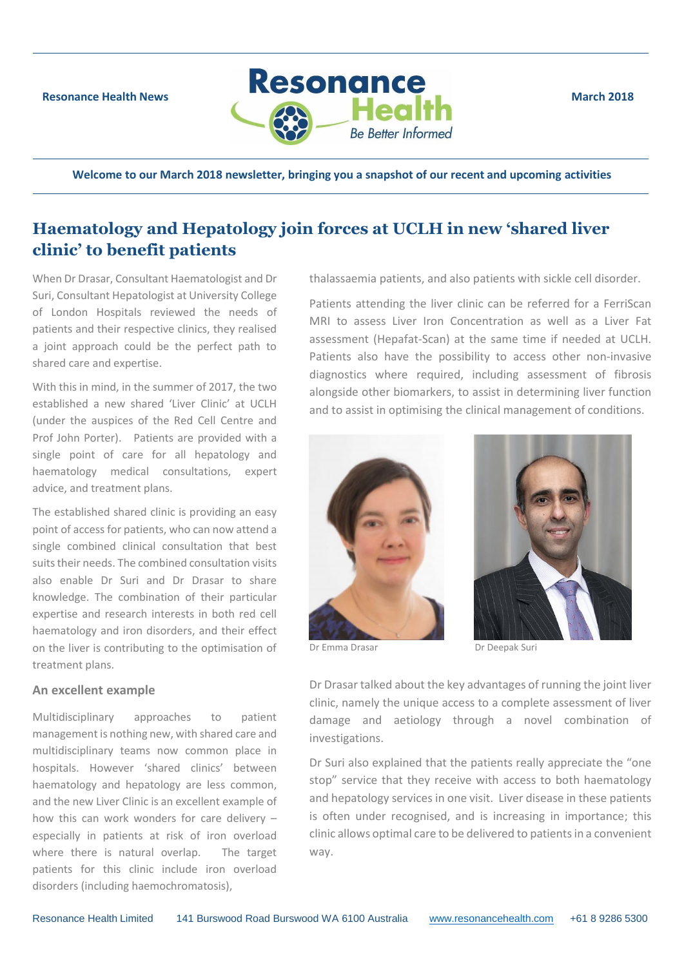

**Welcome to our March 2018 newsletter, bringing you a snapshot of our recent and upcoming activities**

# **Haematology and Hepatology join forces at UCLH in new 'shared liver clinic' to benefit patients**

When Dr Drasar, Consultant Haematologist and Dr Suri, Consultant Hepatologist at University College of London Hospitals reviewed the needs of patients and their respective clinics, they realised a joint approach could be the perfect path to shared care and expertise.

With this in mind, in the summer of 2017, the two established a new shared 'Liver Clinic' at UCLH (under the auspices of the Red Cell Centre and Prof John Porter). Patients are provided with a single point of care for all hepatology and haematology medical consultations, expert advice, and treatment plans.

The established shared clinic is providing an easy point of access for patients, who can now attend a single combined clinical consultation that best suits their needs. The combined consultation visits also enable Dr Suri and Dr Drasar to share knowledge. The combination of their particular expertise and research interests in both red cell haematology and iron disorders, and their effect on the liver is contributing to the optimisation of treatment plans.

#### **An excellent example**

Multidisciplinary approaches to patient management is nothing new, with shared care and multidisciplinary teams now common place in hospitals. However 'shared clinics' between haematology and hepatology are less common, and the new Liver Clinic is an excellent example of how this can work wonders for care delivery – especially in patients at risk of iron overload where there is natural overlap. The target patients for this clinic include iron overload disorders (including haemochromatosis),

thalassaemia patients, and also patients with sickle cell disorder.

Patients attending the liver clinic can be referred for a FerriScan MRI to assess Liver Iron Concentration as well as a Liver Fat assessment (Hepafat-Scan) at the same time if needed at UCLH. Patients also have the possibility to access other non-invasive diagnostics where required, including assessment of fibrosis alongside other biomarkers, to assist in determining liver function and to assist in optimising the clinical management of conditions.



Dr Emma Drasar Dr Deepak Suri



Dr Drasar talked about the key advantages of running the joint liver clinic, namely the unique access to a complete assessment of liver damage and aetiology through a novel combination of investigations.

Dr Suri also explained that the patients really appreciate the "one stop" service that they receive with access to both haematology and hepatology services in one visit. Liver disease in these patients is often under recognised, and is increasing in importance; this clinic allows optimal care to be delivered to patients in a convenient way.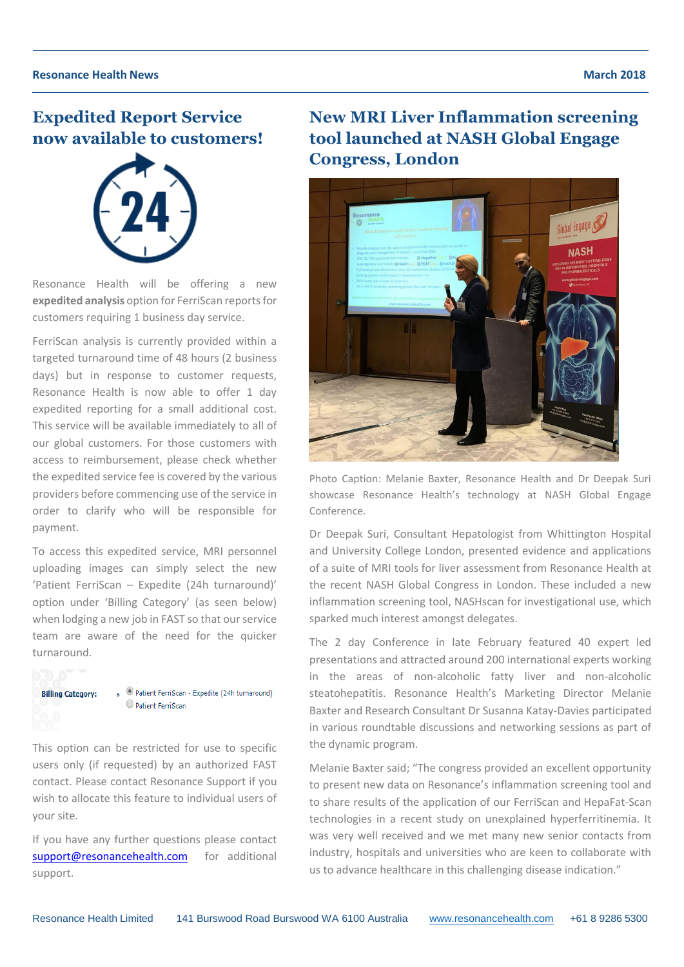# **Expedited Report Service now available to customers!**



Resonance Health will be offering a new **expedited analysis** option for FerriScan reports for customers requiring 1 business day service.

FerriScan analysis is currently provided within a targeted turnaround time of 48 hours (2 business days) but in response to customer requests, Resonance Health is now able to offer 1 day expedited reporting for a small additional cost. This service will be available immediately to all of our global customers. For those customers with access to reimbursement, please check whether the expedited service fee is covered by the various providers before commencing use of the service in order to clarify who will be responsible for payment.

To access this expedited service, MRI personnel uploading images can simply select the new 'Patient FerriScan – Expedite (24h turnaround)' option under 'Billing Category' (as seen below) when lodging a new job in FAST so that our service team are aware of the need for the quicker turnaround.



This option can be restricted for use to specific users only (if requested) by an authorized FAST contact. Please contact Resonance Support if you wish to allocate this feature to individual users of your site.

If you have any further questions please contact [support@resonancehealth.com](mailto:support@resonancehealth.com) for additional support.

**New MRI Liver Inflammation screening tool launched at NASH Global Engage Congress, London**



Photo Caption: Melanie Baxter, Resonance Health and Dr Deepak Suri showcase Resonance Health's technology at NASH Global Engage Conference.

Dr Deepak Suri, Consultant Hepatologist from Whittington Hospital and University College London, presented evidence and applications of a suite of MRI tools for liver assessment from Resonance Health at the recent NASH Global Congress in London. These included a new inflammation screening tool, NASHscan for investigational use, which sparked much interest amongst delegates.

The 2 day Conference in late February featured 40 expert led presentations and attracted around 200 international experts working in the areas of non-alcoholic fatty liver and non-alcoholic steatohepatitis. Resonance Health's Marketing Director Melanie Baxter and Research Consultant Dr Susanna Katay-Davies participated in various roundtable discussions and networking sessions as part of the dynamic program.

Melanie Baxter said; "The congress provided an excellent opportunity to present new data on Resonance's inflammation screening tool and to share results of the application of our FerriScan and HepaFat-Scan technologies in a recent study on unexplained hyperferritinemia. It was very well received and we met many new senior contacts from industry, hospitals and universities who are keen to collaborate with us to advance healthcare in this challenging disease indication."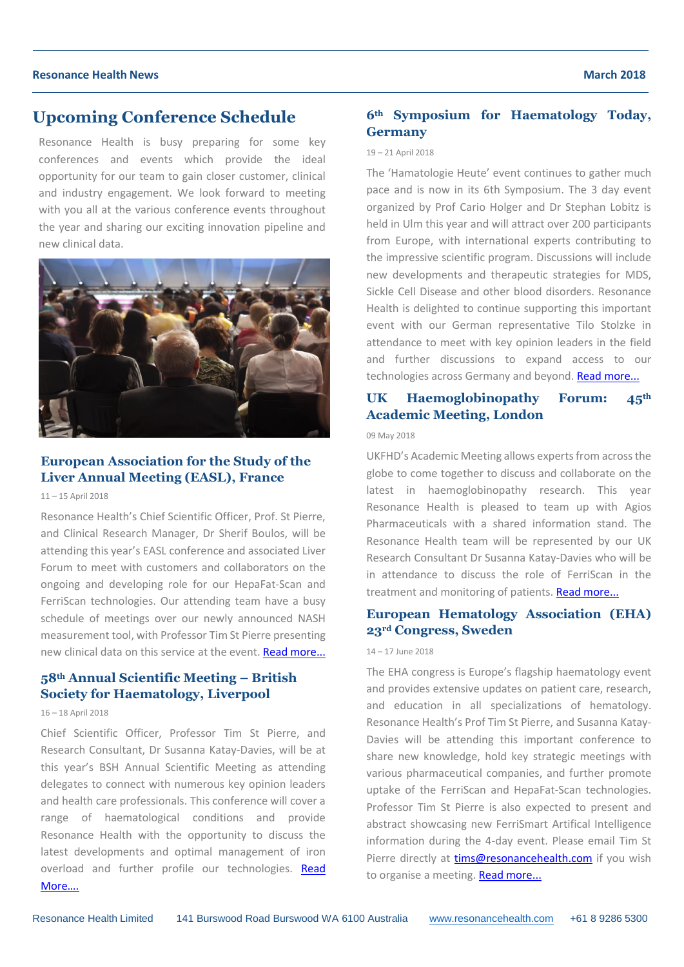#### **Resonance Health News March 2018**

## **Upcoming Conference Schedule**

Resonance Health is busy preparing for some key conferences and events which provide the ideal opportunity for our team to gain closer customer, clinical and industry engagement. We look forward to meeting with you all at the various conference events throughout the year and sharing our exciting innovation pipeline and new clinical data.



### **European Association for the Study of the Liver Annual Meeting (EASL), France**

11 *–* 15 April 2018

Resonance Health's Chief Scientific Officer, Prof. St Pierre, and Clinical Research Manager, Dr Sherif Boulos, will be attending this year's EASL conference and associated Liver Forum to meet with customers and collaborators on the ongoing and developing role for our HepaFat-Scan and FerriScan technologies. Our attending team have a busy schedule of meetings over our newly announced NASH measurement tool, with Professor Tim St Pierre presenting new clinical data on this service at the event. [Read more...](http://www.resonancehealth.com/news/events/196-european-association-for-the-study-of-the-liver-the-liver-forum-2018.html)

### **58th Annual Scientific Meeting – British Society for Haematology, Liverpool**

#### 16 *–* 18 April 2018

Chief Scientific Officer, Professor Tim St Pierre, and Research Consultant, Dr Susanna Katay-Davies, will be at this year's BSH Annual Scientific Meeting as attending delegates to connect with numerous key opinion leaders and health care professionals. This conference will cover a range of haematological conditions and provide Resonance Health with the opportunity to discuss the latest developments and optimal management of iron overload and further profile our technologies. Read [More….](http://www.resonancehealth.com/news/events/197-bsh-58th-annual-scientific-meeting.html)

### **6th Symposium for Haematology Today, Germany**

#### 19 *–* 21 April 2018

The 'Hamatologie Heute' event continues to gather much pace and is now in its 6th Symposium. The 3 day event organized by Prof Cario Holger and Dr Stephan Lobitz is held in Ulm this year and will attract over 200 participants from Europe, with international experts contributing to the impressive scientific program. Discussions will include new developments and therapeutic strategies for MDS, Sickle Cell Disease and other blood disorders. Resonance Health is delighted to continue supporting this important event with our German representative Tilo Stolzke in attendance to meet with key opinion leaders in the field and further discussions to expand access to our technologies across Germany and beyond. [Read more...](http://www.resonancehealth.com/news/events/199-6th-symposium-hematology-today.html)

### **UK Haemoglobinopathy Forum: 45th Academic Meeting, London**

#### 09 May 2018

UKFHD's Academic Meeting allows experts from across the globe to come together to discuss and collaborate on the latest in haemoglobinopathy research. This year Resonance Health is pleased to team up with Agios Pharmaceuticals with a shared information stand. The Resonance Health team will be represented by our UK Research Consultant Dr Susanna Katay-Davies who will be in attendance to discuss the role of FerriScan in the treatment and monitoring of patients. [Read more...](http://www.resonancehealth.com/news/events/200-46th-uk-forum-on-haemoglobin-disorders.html)

### **European Hematology Association (EHA) 23rd Congress, Sweden**

#### 14 *–* 17 June 2018

The EHA congress is Europe's flagship haematology event and provides extensive updates on patient care, research, and education in all specializations of hematology. Resonance Health's Prof Tim St Pierre, and Susanna Katay-Davies will be attending this important conference to share new knowledge, hold key strategic meetings with various pharmaceutical companies, and further promote uptake of the FerriScan and HepaFat-Scan technologies. Professor Tim St Pierre is also expected to present and abstract showcasing new FerriSmart Artifical Intelligence information during the 4-day event. Please email Tim St Pierre directly at [tims@resonancehealth.com](mailto:tims@resonancehealth.com) if you wish to organise a meeting. [Read more...](http://www.resonancehealth.com/news/events/198-european-hematology-association-eha-congress-2018.html)